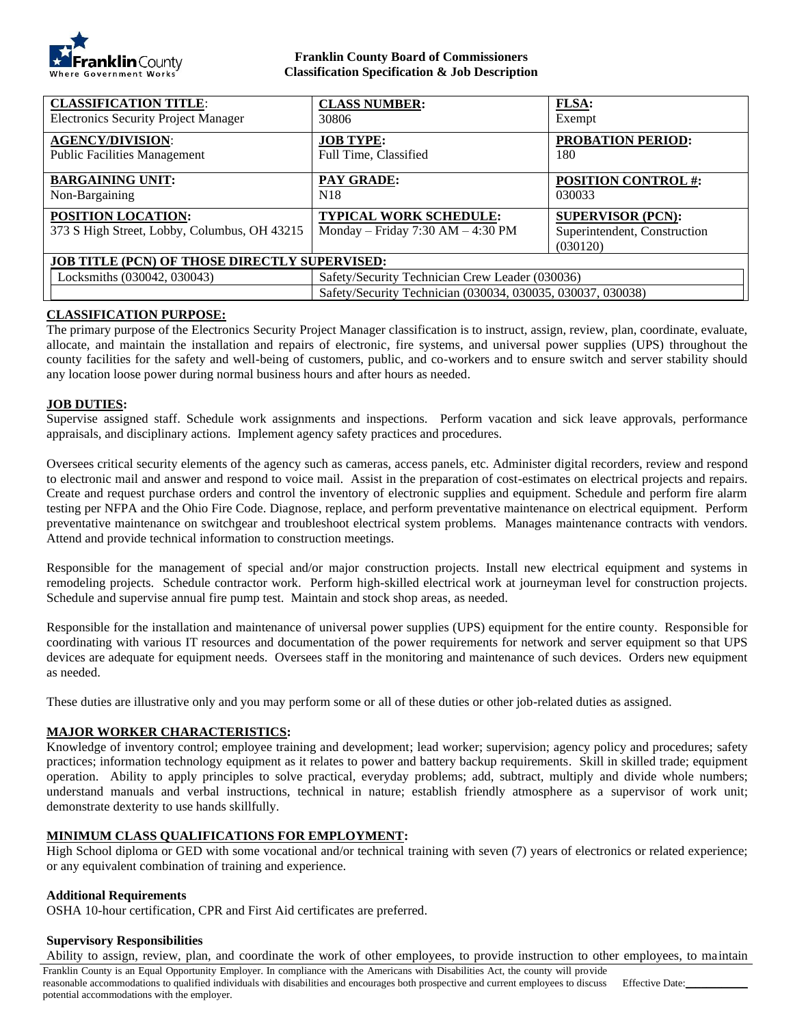

#### **Franklin County Board of Commissioners Classification Specification & Job Description**

| <b>CLASSIFICATION TITLE:</b>                                              | <b>CLASS NUMBER:</b>                                                                                           | <b>FLSA:</b>                                                         |
|---------------------------------------------------------------------------|----------------------------------------------------------------------------------------------------------------|----------------------------------------------------------------------|
| <b>Electronics Security Project Manager</b>                               | 30806                                                                                                          | Exempt                                                               |
| <b>AGENCY/DIVISION:</b>                                                   | <b>JOB TYPE:</b>                                                                                               | <b>PROBATION PERIOD:</b>                                             |
| <b>Public Facilities Management</b>                                       | Full Time, Classified                                                                                          | 180                                                                  |
| <b>BARGAINING UNIT:</b>                                                   | <b>PAY GRADE:</b>                                                                                              | <b>POSITION CONTROL #:</b>                                           |
| Non-Bargaining                                                            | N <sub>18</sub>                                                                                                | 030033                                                               |
| <b>POSITION LOCATION:</b><br>373 S High Street, Lobby, Columbus, OH 43215 | <b>TYPICAL WORK SCHEDULE:</b><br>Monday – Friday 7:30 AM – 4:30 PM                                             | <b>SUPERVISOR (PCN):</b><br>Superintendent, Construction<br>(030120) |
| <b>JOB TITLE (PCN) OF THOSE DIRECTLY SUPERVISED:</b>                      |                                                                                                                |                                                                      |
| Locksmiths (030042, 030043)                                               | Safety/Security Technician Crew Leader (030036)<br>Safety/Security Technician (030034, 030035, 030037, 030038) |                                                                      |

# **CLASSIFICATION PURPOSE:**

The primary purpose of the Electronics Security Project Manager classification is to instruct, assign, review, plan, coordinate, evaluate, allocate, and maintain the installation and repairs of electronic, fire systems, and universal power supplies (UPS) throughout the county facilities for the safety and well-being of customers, public, and co-workers and to ensure switch and server stability should any location loose power during normal business hours and after hours as needed.

#### **JOB DUTIES:**

Supervise assigned staff. Schedule work assignments and inspections. Perform vacation and sick leave approvals, performance appraisals, and disciplinary actions. Implement agency safety practices and procedures.

Oversees critical security elements of the agency such as cameras, access panels, etc. Administer digital recorders, review and respond to electronic mail and answer and respond to voice mail. Assist in the preparation of cost-estimates on electrical projects and repairs. Create and request purchase orders and control the inventory of electronic supplies and equipment. Schedule and perform fire alarm testing per NFPA and the Ohio Fire Code. Diagnose, replace, and perform preventative maintenance on electrical equipment. Perform preventative maintenance on switchgear and troubleshoot electrical system problems. Manages maintenance contracts with vendors. Attend and provide technical information to construction meetings.

Responsible for the management of special and/or major construction projects. Install new electrical equipment and systems in remodeling projects. Schedule contractor work. Perform high-skilled electrical work at journeyman level for construction projects. Schedule and supervise annual fire pump test. Maintain and stock shop areas, as needed.

Responsible for the installation and maintenance of universal power supplies (UPS) equipment for the entire county. Responsible for coordinating with various IT resources and documentation of the power requirements for network and server equipment so that UPS devices are adequate for equipment needs. Oversees staff in the monitoring and maintenance of such devices. Orders new equipment as needed.

These duties are illustrative only and you may perform some or all of these duties or other job-related duties as assigned.

# **MAJOR WORKER CHARACTERISTICS:**

Knowledge of inventory control; employee training and development; lead worker; supervision; agency policy and procedures; safety practices; information technology equipment as it relates to power and battery backup requirements. Skill in skilled trade; equipment operation. Ability to apply principles to solve practical, everyday problems; add, subtract, multiply and divide whole numbers; understand manuals and verbal instructions, technical in nature; establish friendly atmosphere as a supervisor of work unit; demonstrate dexterity to use hands skillfully.

# **MINIMUM CLASS QUALIFICATIONS FOR EMPLOYMENT:**

High School diploma or GED with some vocational and/or technical training with seven (7) years of electronics or related experience; or any equivalent combination of training and experience.

#### **Additional Requirements**

OSHA 10-hour certification, CPR and First Aid certificates are preferred.

# **Supervisory Responsibilities**

Ability to assign, review, plan, and coordinate the work of other employees, to provide instruction to other employees, to maintain

Franklin County is an Equal Opportunity Employer. In compliance with the Americans with Disabilities Act, the county will provide reasonable accommodations to qualified individuals with disabilities and encourages both prospective and current employees to discuss potential accommodations with the employer. Effective Date:\_\_\_\_\_\_\_\_\_\_\_\_